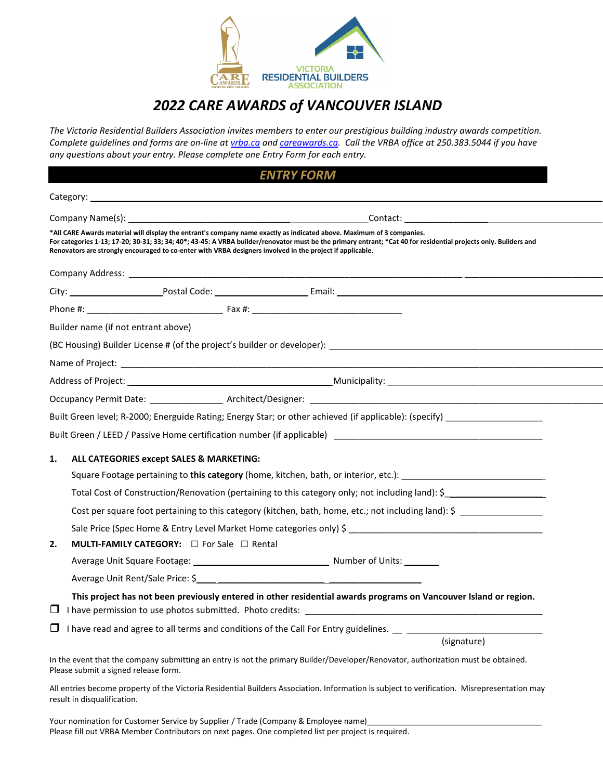

## *2022 CARE AWARDS of VANCOUVER ISLAND*

*The Victoria Residential Builders Association invites members to enter our prestigious building industry awards competition. Complete guidelines and forms are on-line at vrba.ca and [careawards.ca.](http://www.careawards.ca/) Call the VRBA office at 250.383.5044 if you have any questions about your entry. Please complete one Entry Form for each entry.* 

| <b>ENTRY FORM</b>                                                                                                                                                                                                                                                                                                                                                                                      |                                                                                                                                                                                                                                                       |
|--------------------------------------------------------------------------------------------------------------------------------------------------------------------------------------------------------------------------------------------------------------------------------------------------------------------------------------------------------------------------------------------------------|-------------------------------------------------------------------------------------------------------------------------------------------------------------------------------------------------------------------------------------------------------|
|                                                                                                                                                                                                                                                                                                                                                                                                        |                                                                                                                                                                                                                                                       |
|                                                                                                                                                                                                                                                                                                                                                                                                        | Company Name(s): __<br>Contact: the contract of the contract of the contract of the contract of the contract of the contract of the contract of the contract of the contract of the contract of the contract of the contract of the contract of the c |
| *All CARE Awards material will display the entrant's company name exactly as indicated above. Maximum of 3 companies.<br>For categories 1-13; 17-20; 30-31; 33; 34; 40*; 43-45: A VRBA builder/renovator must be the primary entrant; *Cat 40 for residential projects only. Builders and<br>Renovators are strongly encouraged to co-enter with VRBA designers involved in the project if applicable. |                                                                                                                                                                                                                                                       |
| Company Address: National Address: National Address: National Address: National Address: National Address: National Address: National Address: National Address: National Address: National Address: National Address: Nationa                                                                                                                                                                         |                                                                                                                                                                                                                                                       |
|                                                                                                                                                                                                                                                                                                                                                                                                        |                                                                                                                                                                                                                                                       |
|                                                                                                                                                                                                                                                                                                                                                                                                        |                                                                                                                                                                                                                                                       |
|                                                                                                                                                                                                                                                                                                                                                                                                        | Builder name (if not entrant above)                                                                                                                                                                                                                   |
|                                                                                                                                                                                                                                                                                                                                                                                                        |                                                                                                                                                                                                                                                       |
|                                                                                                                                                                                                                                                                                                                                                                                                        |                                                                                                                                                                                                                                                       |
|                                                                                                                                                                                                                                                                                                                                                                                                        |                                                                                                                                                                                                                                                       |
|                                                                                                                                                                                                                                                                                                                                                                                                        |                                                                                                                                                                                                                                                       |
|                                                                                                                                                                                                                                                                                                                                                                                                        |                                                                                                                                                                                                                                                       |
|                                                                                                                                                                                                                                                                                                                                                                                                        | Built Green / LEED / Passive Home certification number (if applicable) [19] Danis Communication of the control of the control of the control of the control of the control of the control of the control of the control of the                        |
| 1.                                                                                                                                                                                                                                                                                                                                                                                                     | ALL CATEGORIES except SALES & MARKETING:                                                                                                                                                                                                              |
|                                                                                                                                                                                                                                                                                                                                                                                                        | Square Footage pertaining to this category (home, kitchen, bath, or interior, etc.): _________________________                                                                                                                                        |
|                                                                                                                                                                                                                                                                                                                                                                                                        | Total Cost of Construction/Renovation (pertaining to this category only; not including land): \$                                                                                                                                                      |
|                                                                                                                                                                                                                                                                                                                                                                                                        | Cost per square foot pertaining to this category (kitchen, bath, home, etc.; not including land): \$                                                                                                                                                  |
|                                                                                                                                                                                                                                                                                                                                                                                                        |                                                                                                                                                                                                                                                       |
| 2.                                                                                                                                                                                                                                                                                                                                                                                                     | <b>MULTI-FAMILY CATEGORY:</b> $\Box$ For Sale $\Box$ Rental                                                                                                                                                                                           |
|                                                                                                                                                                                                                                                                                                                                                                                                        |                                                                                                                                                                                                                                                       |
|                                                                                                                                                                                                                                                                                                                                                                                                        | Average Unit Rent/Sale Price: \$                                                                                                                                                                                                                      |
|                                                                                                                                                                                                                                                                                                                                                                                                        | This project has not been previously entered in other residential awards programs on Vancouver Island or region.<br>□ I have permission to use photos submitted. Photo credits: _____________________                                                 |
|                                                                                                                                                                                                                                                                                                                                                                                                        |                                                                                                                                                                                                                                                       |
|                                                                                                                                                                                                                                                                                                                                                                                                        | (signature)                                                                                                                                                                                                                                           |
|                                                                                                                                                                                                                                                                                                                                                                                                        | In the event that the company submitting an entry is not the primary Builder/Developer/Renovator, authorization must be obtained.<br>Please submit a signed release form.                                                                             |
| All entries become property of the Victoria Residential Builders Association. Information is subject to verification. Misrepresentation may<br>result in disqualification.                                                                                                                                                                                                                             |                                                                                                                                                                                                                                                       |

Your nomination for Customer Service by Supplier / Trade (Company & Employee name) Please fill out VRBA Member Contributors on next pages. One completed list per project is required.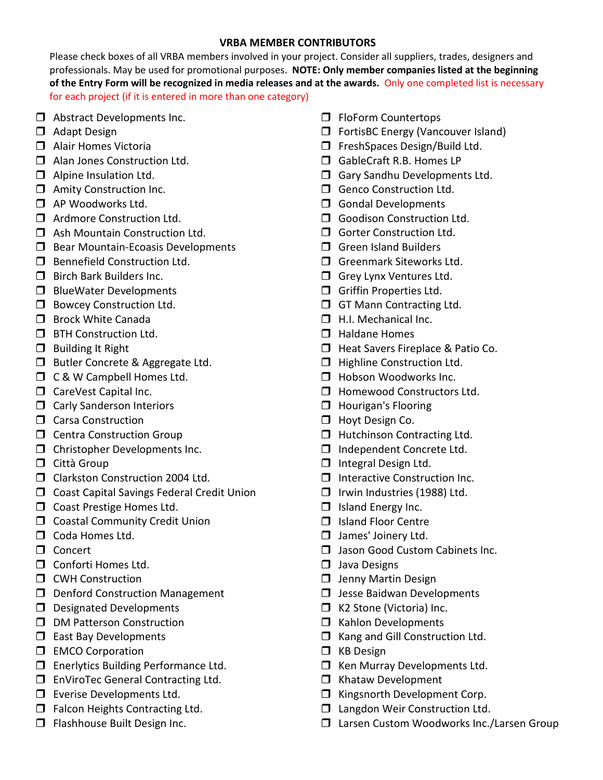## **VRBA MEMBER CONTRIBUTORS**

Please check boxes of all VRBA members involved in your project. Consider all suppliers, trades, designers and professionals. May be used for promotional purposes. **NOTE: Only member companies listed at the beginning of the Entry Form will be recognized in media releases and at the awards.** Only one completed list is necessary for each project (if it is entered in more than one category)

- **D** Abstract Developments Inc.
- **D** Adapt Design
- □ Alair Homes Victoria
- **I** Alan Jones Construction Ltd.
- $\Box$  Alpine Insulation Ltd.
- **I** Amity Construction Inc.
- AP Woodworks Ltd.
- **T** Ardmore Construction Ltd.
- □ Ash Mountain Construction Ltd.
- $\Box$  Bear Mountain-Ecoasis Developments
- **Bennefield Construction Ltd.**
- $\Box$  Birch Bark Builders Inc.
- **BlueWater Developments**
- **Bowcey Construction Ltd.**
- $\square$  Brock White Canada
- **D** BTH Construction Ltd.
- $\Box$  Building It Right
- **Butler Concrete & Aggregate Ltd.**
- **T** C & W Campbell Homes Ltd.
- CareVest Capital Inc.
- **Carly Sanderson Interiors**
- Carsa Construction
- **C** Centra Construction Group
- Christopher Developments Inc.
- $\Box$  Città Group
- Clarkston Construction 2004 Ltd.
- **D** Coast Capital Savings Federal Credit Union
- **Coast Prestige Homes Ltd.**
- **COASTAL COMMUNITY Credit Union**
- Coda Homes Ltd.
- Concert
- **D** Conforti Homes Ltd.
- **D** CWH Construction
- D Denford Construction Management
- $\square$  Designated Developments
- D DM Patterson Construction
- $\Box$  East Bay Developments
- **EMCO** Corporation
- **Enerlytics Building Performance Ltd.**
- □ EnViroTec General Contracting Ltd.
- **Exerise Developments Ltd.**
- $\Box$  Falcon Heights Contracting Ltd.
- **Flashhouse Built Design Inc.**
- **FloForm Countertops**
- □ FortisBC Energy (Vancouver Island)
- FreshSpaces Design/Build Ltd.
- □ GableCraft R.B. Homes LP
- Gary Sandhu Developments Ltd.
- Genco Construction Ltd.
- Gondal Developments
- Goodison Construction Ltd.
- Gorter Construction Ltd.
- $\Box$  Green Island Builders
- Greenmark Siteworks Ltd.
- Grey Lynx Ventures Ltd.
- Griffin Properties Ltd.
- **GT Mann Contracting Ltd.**
- $\Box$  H.I. Mechanical Inc.
- $\Box$  Haldane Homes
- **Heat Savers Fireplace & Patio Co.**
- **Highline Construction Ltd.**
- **Hobson Woodworks Inc.**
- **Homewood Constructors Ltd.**
- **Hourigan's Flooring**
- **Hoyt Design Co.**
- $\Box$  Hutchinson Contracting Ltd.
- □ Independent Concrete Ltd.
- $\Box$  Integral Design Ltd.
- $\Box$  Interactive Construction Inc.
- $\Box$  Irwin Industries (1988) Ltd.
- $\Box$  Island Energy Inc.
- □ Island Floor Centre
- **James' Joinery Ltd.**
- **Jason Good Custom Cabinets Inc.**
- $\Box$  Java Designs
- **J** Jenny Martin Design
- $\Box$  Jesse Baidwan Developments
- □ K2 Stone (Victoria) Inc.
- **I** Kahlon Developments
- $\Box$  Kang and Gill Construction Ltd.
- **D** KB Design
- **I** Ken Murray Developments Ltd.
- $\Box$  Khataw Development
- $\Box$  Kingsnorth Development Corp.
- □ Langdon Weir Construction Ltd.
- □ Larsen Custom Woodworks Inc./Larsen Group